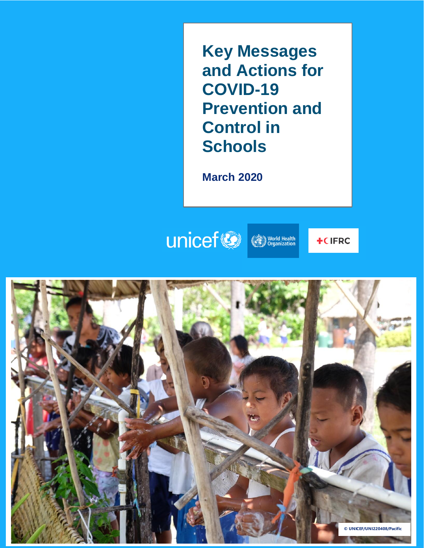**Key Messages and Actions for COVID-19 Prevention and Control in Schools**

**March 2020**

## unicef **World Health**

**+CIFRC** 

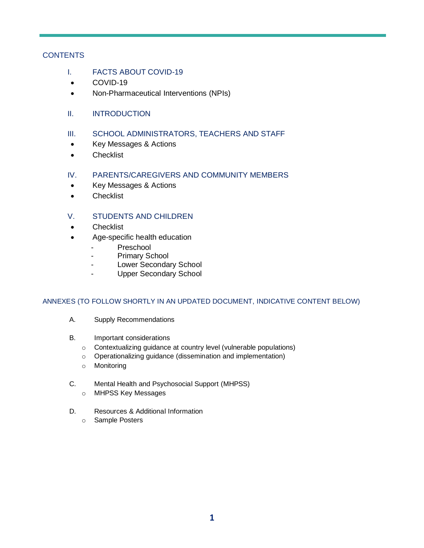#### **CONTENTS**

- I. FACTS ABOUT COVID-19
- COVID-19
- Non-Pharmaceutical Interventions (NPIs)
- II. INTRODUCTION
- III. SCHOOL ADMINISTRATORS, TEACHERS AND STAFF
- Key Messages & Actions
- Checklist
- IV. PARENTS/CAREGIVERS AND COMMUNITY MEMBERS
- Key Messages & Actions
- Checklist

#### V. STUDENTS AND CHILDREN

- **Checklist**
- Age-specific health education
	- Preschool
	- Primary School
	- Lower Secondary School
	- Upper Secondary School

#### ANNEXES (TO FOLLOW SHORTLY IN AN UPDATED DOCUMENT, INDICATIVE CONTENT BELOW)

- A. Supply Recommendations
- B. Important considerations
	- o Contextualizing guidance at country level (vulnerable populations)
	- o Operationalizing guidance (dissemination and implementation)
	- o Monitoring
- C. Mental Health and Psychosocial Support (MHPSS) o MHPSS Key Messages
- D. Resources & Additional Information
	- o Sample Posters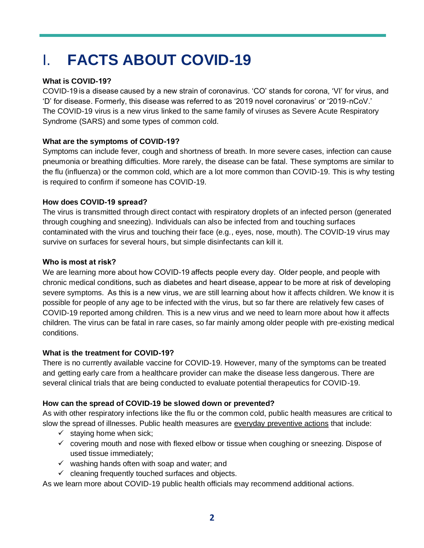# I. **FACTS ABOUT COVID-19**

#### **What is COVID-19?**

COVID-19 is a disease caused by a new strain of coronavirus. 'CO' stands for corona, 'VI' for virus, and 'D' for disease. Formerly, this disease was referred to as '2019 novel coronavirus' or '2019-nCoV.' The COVID-19 virus is a new virus linked to the same family of viruses as Severe Acute Respiratory Syndrome (SARS) and some types of common cold.

#### **What are the symptoms of COVID-19?**

Symptoms can include fever, cough and shortness of breath. In more severe cases, infection can cause pneumonia or breathing difficulties. More rarely, the disease can be fatal. These symptoms are similar to the flu (influenza) or the common cold, which are a lot more common than COVID-19. This is why testing is required to confirm if someone has COVID-19.

#### **How does COVID-19 spread?**

The virus is transmitted through direct contact with respiratory droplets of an infected person (generated through coughing and sneezing). Individuals can also be infected from and touching surfaces contaminated with the virus and touching their face (e.g., eyes, nose, mouth). The COVID-19 virus may survive on surfaces for several hours, but simple disinfectants can kill it.

#### **Who is most at risk?**

We are learning more about how COVID-19 affects people every day.  Older people, and people with chronic medical conditions, such as diabetes and heart disease, appear to be more at risk of developing severe symptoms.  As this is a new virus, we are still learning about how it affects children. We know it is possible for people of any age to be infected with the virus, but so far there are relatively few cases of COVID-19 reported among children. This is a new virus and we need to learn more about how it affects children. The virus can be fatal in rare cases, so far mainly among older people with pre-existing medical conditions.

#### **What is the treatment for COVID-19?**

There is no currently available vaccine for COVID-19. However, many of the symptoms can be treated and getting early care from a healthcare provider can make the disease less dangerous. There are several clinical trials that are being conducted to evaluate potential therapeutics for COVID-19.

#### **How can the spread of COVID-19 be slowed down or prevented?**

As with other respiratory infections like the flu or the common cold, public health measures are critical to slow the spread of illnesses. Public health measures are everyday preventive actions that include:

- $\checkmark$  staying home when sick;
- $\checkmark$  covering mouth and nose with flexed elbow or tissue when coughing or sneezing. Dispose of used tissue immediately;
- $\checkmark$  washing hands often with soap and water; and
- $\checkmark$  cleaning frequently touched surfaces and objects.

As we learn more about COVID-19 public health officials may recommend additional actions.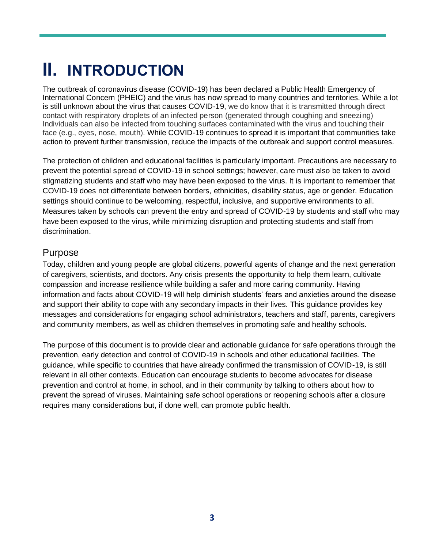# **II. INTRODUCTION**

The outbreak of coronavirus disease (COVID-19) has been declared a Public Health Emergency of International Concern (PHEIC) and the virus has now spread to many countries and territories. While a lot is still unknown about the virus that causes COVID-19, we do know that it is transmitted through direct contact with respiratory droplets of an infected person (generated through coughing and sneezing) Individuals can also be infected from touching surfaces contaminated with the virus and touching their face (e.g., eyes, nose, mouth). While COVID-19 continues to spread it is important that communities take action to prevent further transmission, reduce the impacts of the outbreak and support control measures.

The protection of children and educational facilities is particularly important. Precautions are necessary to prevent the potential spread of COVID-19 in school settings; however, care must also be taken to avoid stigmatizing students and staff who may have been exposed to the virus. It is important to remember that COVID-19 does not differentiate between borders, ethnicities, disability status, age or gender. Education settings should continue to be welcoming, respectful, inclusive, and supportive environments to all. Measures taken by schools can prevent the entry and spread of COVID-19 by students and staff who may have been exposed to the virus, while minimizing disruption and protecting students and staff from discrimination.

#### Purpose

Today, children and young people are global citizens, powerful agents of change and the next generation of caregivers, scientists, and doctors. Any crisis presents the opportunity to help them learn, cultivate compassion and increase resilience while building a safer and more caring community. Having information and facts about COVID-19 will help diminish students' fears and anxieties around the disease and support their ability to cope with any secondary impacts in their lives. This guidance provides key messages and considerations for engaging school administrators, teachers and staff, parents, caregivers and community members, as well as children themselves in promoting safe and healthy schools.

The purpose of this document is to provide clear and actionable guidance for safe operations through the prevention, early detection and control of COVID-19 in schools and other educational facilities. The guidance, while specific to countries that have already confirmed the transmission of COVID-19, is still relevant in all other contexts. Education can encourage students to become advocates for disease prevention and control at home, in school, and in their community by talking to others about how to prevent the spread of viruses. Maintaining safe school operations or reopening schools after a closure requires many considerations but, if done well, can promote public health.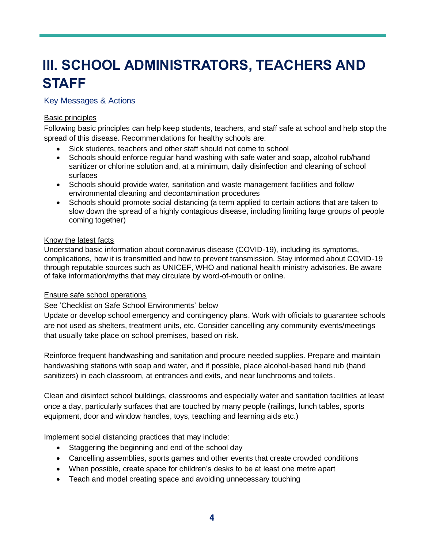# **III. SCHOOL ADMINISTRATORS, TEACHERS AND STAFF**

#### Key Messages & Actions

#### Basic principles

Following basic principles can help keep students, teachers, and staff safe at school and help stop the spread of this disease. Recommendations for healthy schools are:

- Sick students, teachers and other staff should not come to school
- Schools should enforce regular hand washing with safe water and soap, alcohol rub/hand sanitizer or chlorine solution and, at a minimum, daily disinfection and cleaning of school surfaces
- Schools should provide water, sanitation and waste management facilities and follow environmental cleaning and decontamination procedures
- Schools should promote social distancing (a term applied to certain actions that are taken to slow down the spread of a highly contagious disease, including limiting large groups of people coming together)

#### Know the latest facts

Understand basic information about coronavirus disease (COVID-19), including its symptoms, complications, how it is transmitted and how to prevent transmission. Stay informed about COVID-19 through reputable sources such as UNICEF, WHO and national health ministry advisories. Be aware of fake information/myths that may circulate by word-of-mouth or online.

#### Ensure safe school operations

See 'Checklist on Safe School Environments' below

Update or develop school emergency and contingency plans. Work with officials to guarantee schools are not used as shelters, treatment units, etc. Consider cancelling any community events/meetings that usually take place on school premises, based on risk.

Reinforce frequent handwashing and sanitation and procure needed supplies. Prepare and maintain handwashing stations with soap and water, and if possible, place alcohol-based hand rub (hand sanitizers) in each classroom, at entrances and exits, and near lunchrooms and toilets.

Clean and disinfect school buildings, classrooms and especially water and sanitation facilities at least once a day, particularly surfaces that are touched by many people (railings, lunch tables, sports equipment, door and window handles, toys, teaching and learning aids etc.)

Implement social distancing practices that may include:

- Staggering the beginning and end of the school day
- Cancelling assemblies, sports games and other events that create crowded conditions
- When possible, create space for children's desks to be at least one metre apart
- Teach and model creating space and avoiding unnecessary touching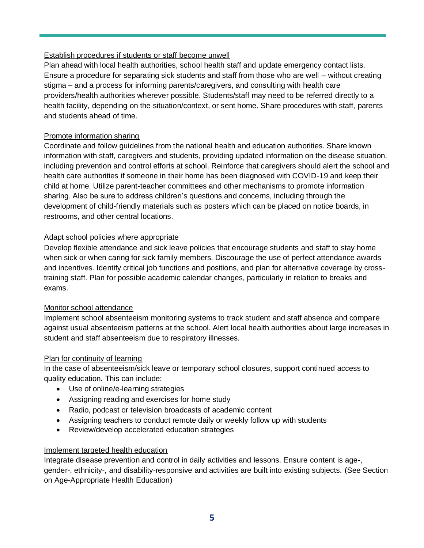#### Establish procedures if students or staff become unwell

Plan ahead with local health authorities, school health staff and update emergency contact lists. Ensure a procedure for separating sick students and staff from those who are well – without creating stigma – and a process for informing parents/caregivers, and consulting with health care providers/health authorities wherever possible. Students/staff may need to be referred directly to a health facility, depending on the situation/context, or sent home. Share procedures with staff, parents and students ahead of time.

#### Promote information sharing

Coordinate and follow guidelines from the national health and education authorities. Share known information with staff, caregivers and students, providing updated information on the disease situation, including prevention and control efforts at school. Reinforce that caregivers should alert the school and health care authorities if someone in their home has been diagnosed with COVID-19 and keep their child at home. Utilize parent-teacher committees and other mechanisms to promote information sharing. Also be sure to address children's questions and concerns, including through the development of child-friendly materials such as posters which can be placed on notice boards, in restrooms, and other central locations.

#### Adapt school policies where appropriate

Develop flexible attendance and sick leave policies that encourage students and staff to stay home when sick or when caring for sick family members. Discourage the use of perfect attendance awards and incentives. Identify critical job functions and positions, and plan for alternative coverage by crosstraining staff. Plan for possible academic calendar changes, particularly in relation to breaks and exams.

#### Monitor school attendance

Implement school absenteeism monitoring systems to track student and staff absence and compare against usual absenteeism patterns at the school. Alert local health authorities about large increases in student and staff absenteeism due to respiratory illnesses.

#### Plan for continuity of learning

In the case of absenteeism/sick leave or temporary school closures, support continued access to quality education. This can include:

- Use of online/e-learning strategies
- Assigning reading and exercises for home study
- Radio, podcast or television broadcasts of academic content
- Assigning teachers to conduct remote daily or weekly follow up with students
- Review/develop accelerated education strategies

#### Implement targeted health education

Integrate disease prevention and control in daily activities and lessons. Ensure content is age-, gender-, ethnicity-, and disability-responsive and activities are built into existing subjects. (See Section on Age-Appropriate Health Education)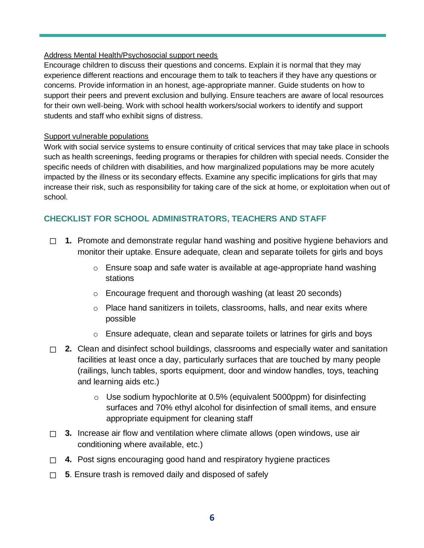#### Address Mental Health/Psychosocial support needs

Encourage children to discuss their questions and concerns. Explain it is normal that they may experience different reactions and encourage them to talk to teachers if they have any questions or concerns. Provide information in an honest, age-appropriate manner. Guide students on how to support their peers and prevent exclusion and bullying. Ensure teachers are aware of local resources for their own well-being. Work with school health workers/social workers to identify and support students and staff who exhibit signs of distress.

#### Support vulnerable populations

Work with social service systems to ensure continuity of critical services that may take place in schools such as health screenings, feeding programs or therapies for children with special needs. Consider the specific needs of children with disabilities, and how marginalized populations may be more acutely impacted by the illness or its secondary effects. Examine any specific implications for girls that may increase their risk, such as responsibility for taking care of the sick at home, or exploitation when out of school.

#### **CHECKLIST FOR SCHOOL ADMINISTRATORS, TEACHERS AND STAFF**

- ☐ **1.** Promote and demonstrate regular hand washing and positive hygiene behaviors and monitor their uptake. Ensure adequate, clean and separate toilets for girls and boys
	- $\circ$  Ensure soap and safe water is available at age-appropriate hand washing stations
	- o Encourage frequent and thorough washing (at least 20 seconds)
	- o Place hand sanitizers in toilets, classrooms, halls, and near exits where possible
	- o Ensure adequate, clean and separate toilets or latrines for girls and boys
- ☐ **2.** Clean and disinfect school buildings, classrooms and especially water and sanitation facilities at least once a day, particularly surfaces that are touched by many people (railings, lunch tables, sports equipment, door and window handles, toys, teaching and learning aids etc.)
	- $\circ$  Use sodium hypochlorite at 0.5% (equivalent 5000ppm) for disinfecting surfaces and 70% ethyl alcohol for disinfection of small items, and ensure appropriate equipment for cleaning staff
- □ 3. Increase air flow and ventilation where climate allows (open windows, use air conditioning where available, etc.)
- ☐ **4.** Post signs encouraging good hand and respiratory hygiene practices
- ☐ **5**. Ensure trash is removed daily and disposed of safely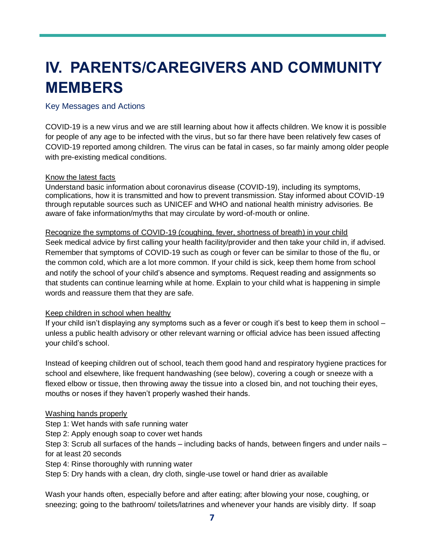# **IV. PARENTS/CAREGIVERS AND COMMUNITY MEMBERS**

#### Key Messages and Actions

COVID-19 is a new virus and we are still learning about how it affects children. We know it is possible for people of any age to be infected with the virus, but so far there have been relatively few cases of COVID-19 reported among children. The virus can be fatal in cases, so far mainly among older people with pre-existing medical conditions.

#### Know the latest facts

Understand basic information about coronavirus disease (COVID-19), including its symptoms, complications, how it is transmitted and how to prevent transmission. Stay informed about COVID-19 through reputable sources such as UNICEF and WHO and national health ministry advisories. Be aware of fake information/myths that may circulate by word-of-mouth or online.

Recognize the symptoms of COVID-19 (coughing, fever, shortness of breath) in your child Seek medical advice by first calling your health facility/provider and then take your child in, if advised. Remember that symptoms of COVID-19 such as cough or fever can be similar to those of the flu, or the common cold, which are a lot more common. If your child is sick, keep them home from school and notify the school of your child's absence and symptoms. Request reading and assignments so that students can continue learning while at home. Explain to your child what is happening in simple words and reassure them that they are safe.

#### Keep children in school when healthy

If your child isn't displaying any symptoms such as a fever or cough it's best to keep them in school – unless a public health advisory or other relevant warning or official advice has been issued affecting your child's school.

Instead of keeping children out of school, teach them good hand and respiratory hygiene practices for school and elsewhere, like frequent handwashing (see below), covering a cough or sneeze with a flexed elbow or tissue, then throwing away the tissue into a closed bin, and not touching their eyes, mouths or noses if they haven't properly washed their hands.

#### Washing hands properly

Step 1: Wet hands with safe running water

Step 2: Apply enough soap to cover wet hands

Step 3: Scrub all surfaces of the hands – including backs of hands, between fingers and under nails – for at least 20 seconds

Step 4: Rinse thoroughly with running water

Step 5: Dry hands with a clean, dry cloth, single-use towel or hand drier as available

Wash your hands often, especially before and after eating; after blowing your nose, coughing, or sneezing; going to the bathroom/ toilets/latrines and whenever your hands are visibly dirty. If soap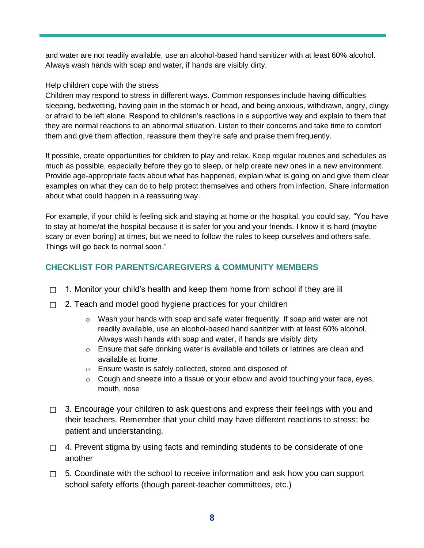and water are not readily available, use an alcohol-based hand sanitizer with at least 60% alcohol. Always wash hands with soap and water, if hands are visibly dirty.

#### Help children cope with the stress

Children may respond to stress in different ways. Common responses include having difficulties sleeping, bedwetting, having pain in the stomach or head, and being anxious, withdrawn, angry, clingy or afraid to be left alone. Respond to children's reactions in a supportive way and explain to them that they are normal reactions to an abnormal situation. Listen to their concerns and take time to comfort them and give them affection, reassure them they're safe and praise them frequently.

If possible, create opportunities for children to play and relax. Keep regular routines and schedules as much as possible, especially before they go to sleep, or help create new ones in a new environment. Provide age-appropriate facts about what has happened, explain what is going on and give them clear examples on what they can do to help protect themselves and others from infection. Share information about what could happen in a reassuring way.

For example, if your child is feeling sick and staying at home or the hospital, you could say, "You have to stay at home/at the hospital because it is safer for you and your friends. I know it is hard (maybe scary or even boring) at times, but we need to follow the rules to keep ourselves and others safe. Things will go back to normal soon."

### **CHECKLIST FOR PARENTS/CAREGIVERS & COMMUNITY MEMBERS**

- $\Box$  1. Monitor your child's health and keep them home from school if they are ill
- □ 2. Teach and model good hygiene practices for your children
	- $\circ$  Wash your hands with soap and safe water frequently. If soap and water are not readily available, use an alcohol-based hand sanitizer with at least 60% alcohol. Always wash hands with soap and water, if hands are visibly dirty
	- $\circ$  Ensure that safe drinking water is available and toilets or latrines are clean and available at home
	- o Ensure waste is safely collected, stored and disposed of
	- o Cough and sneeze into a tissue or your elbow and avoid touching your face, eyes, mouth, nose
- $\Box$  3. Encourage your children to ask questions and express their feelings with you and their teachers. Remember that your child may have different reactions to stress; be patient and understanding.
- $\Box$  4. Prevent stigma by using facts and reminding students to be considerate of one another
- □ 5. Coordinate with the school to receive information and ask how you can support school safety efforts (though parent-teacher committees, etc.)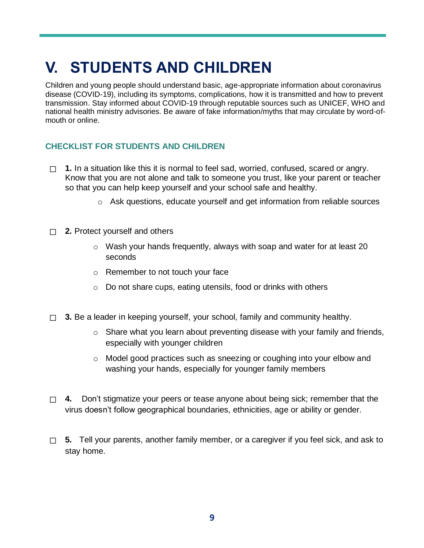# **V. STUDENTS AND CHILDREN**

Children and young people should understand basic, age-appropriate information about coronavirus disease (COVID-19), including its symptoms, complications, how it is transmitted and how to prevent transmission. Stay informed about COVID-19 through reputable sources such as UNICEF, WHO and national health ministry advisories. Be aware of fake information/myths that may circulate by word-ofmouth or online.

#### **CHECKLIST FOR STUDENTS AND CHILDREN**

- ☐ **1.** In a situation like this it is normal to feel sad, worried, confused, scared or angry. Know that you are not alone and talk to someone you trust, like your parent or teacher so that you can help keep yourself and your school safe and healthy.
	- o Ask questions, educate yourself and get information from reliable sources
- ☐ **2.** Protect yourself and others
	- $\circ$  Wash your hands frequently, always with soap and water for at least 20 seconds
	- o Remember to not touch your face
	- o Do not share cups, eating utensils, food or drinks with others
- $\Box$  **3.** Be a leader in keeping yourself, your school, family and community healthy.
	- o Share what you learn about preventing disease with your family and friends, especially with younger children
	- $\circ$  Model good practices such as sneezing or coughing into your elbow and washing your hands, especially for younger family members
- □ 4. Don't stigmatize your peers or tease anyone about being sick; remember that the virus doesn't follow geographical boundaries, ethnicities, age or ability or gender.
- ☐ **5.** Tell your parents, another family member, or a caregiver if you feel sick, and ask to stay home.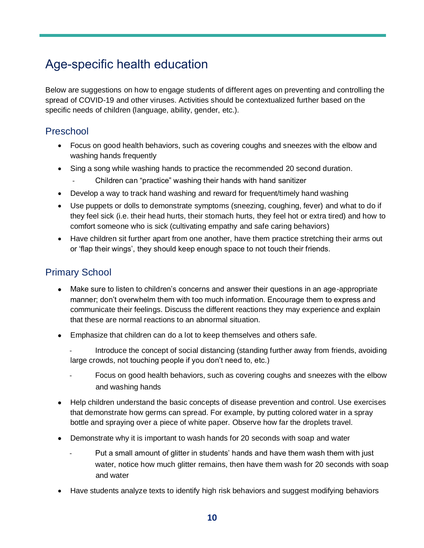# Age-specific health education

Below are suggestions on how to engage students of different ages on preventing and controlling the spread of COVID-19 and other viruses. Activities should be contextualized further based on the specific needs of children (language, ability, gender, etc.).

### Preschool

- Focus on good health behaviors, such as covering coughs and sneezes with the elbow and washing hands frequently
- Sing a song while washing hands to practice the recommended 20 second duration.
	- Children can "practice" washing their hands with hand sanitizer
- Develop a way to track hand washing and reward for frequent/timely hand washing
- Use puppets or dolls to demonstrate symptoms (sneezing, coughing, fever) and what to do if they feel sick (i.e. their head hurts, their stomach hurts, they feel hot or extra tired) and how to comfort someone who is sick (cultivating empathy and safe caring behaviors)
- Have children sit further apart from one another, have them practice stretching their arms out or 'flap their wings', they should keep enough space to not touch their friends.

### Primary School

- Make sure to listen to children's concerns and answer their questions in an age-appropriate manner; don't overwhelm them with too much information. Encourage them to express and communicate their feelings. Discuss the different reactions they may experience and explain that these are normal reactions to an abnormal situation.
- Emphasize that children can do a lot to keep themselves and others safe.
	- Introduce the concept of social distancing (standing further away from friends, avoiding large crowds, not touching people if you don't need to, etc.)
	- Focus on good health behaviors, such as covering coughs and sneezes with the elbow and washing hands
- Help children understand the basic concepts of disease prevention and control. Use exercises that demonstrate how germs can spread. For example, by putting colored water in a spray bottle and spraying over a piece of white paper. Observe how far the droplets travel.
- Demonstrate why it is important to wash hands for 20 seconds with soap and water
	- Put a small amount of glitter in students' hands and have them wash them with just water, notice how much glitter remains, then have them wash for 20 seconds with soap and water
- Have students analyze texts to identify high risk behaviors and suggest modifying behaviors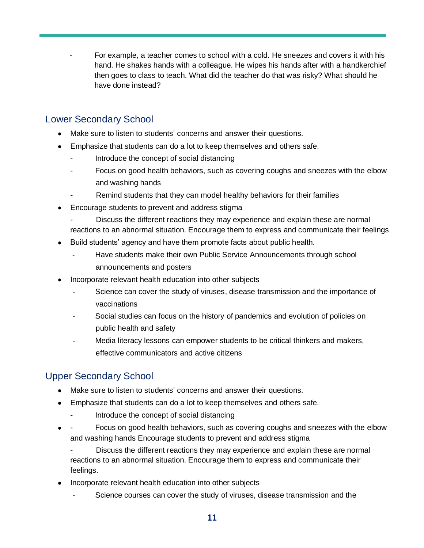For example, a teacher comes to school with a cold. He sneezes and covers it with his hand. He shakes hands with a colleague. He wipes his hands after with a handkerchief then goes to class to teach. What did the teacher do that was risky? What should he have done instead?

### Lower Secondary School

- Make sure to listen to students' concerns and answer their questions.
- Emphasize that students can do a lot to keep themselves and others safe.
	- Introduce the concept of social distancing
	- Focus on good health behaviors, such as covering coughs and sneezes with the elbow and washing hands
	- **-** Remind students that they can model healthy behaviors for their families
- Encourage students to prevent and address stigma
	- Discuss the different reactions they may experience and explain these are normal reactions to an abnormal situation. Encourage them to express and communicate their feelings
- Build students' agency and have them promote facts about public health.
	- Have students make their own Public Service Announcements through school announcements and posters
- Incorporate relevant health education into other subjects
	- Science can cover the study of viruses, disease transmission and the importance of vaccinations
	- Social studies can focus on the history of pandemics and evolution of policies on public health and safety
	- Media literacy lessons can empower students to be critical thinkers and makers, effective communicators and active citizens

### Upper Secondary School

- Make sure to listen to students' concerns and answer their questions.
- Emphasize that students can do a lot to keep themselves and others safe.
	- Introduce the concept of social distancing
- Focus on good health behaviors, such as covering coughs and sneezes with the elbow and washing hands Encourage students to prevent and address stigma

Discuss the different reactions they may experience and explain these are normal reactions to an abnormal situation. Encourage them to express and communicate their feelings.

- Incorporate relevant health education into other subjects
	- Science courses can cover the study of viruses, disease transmission and the